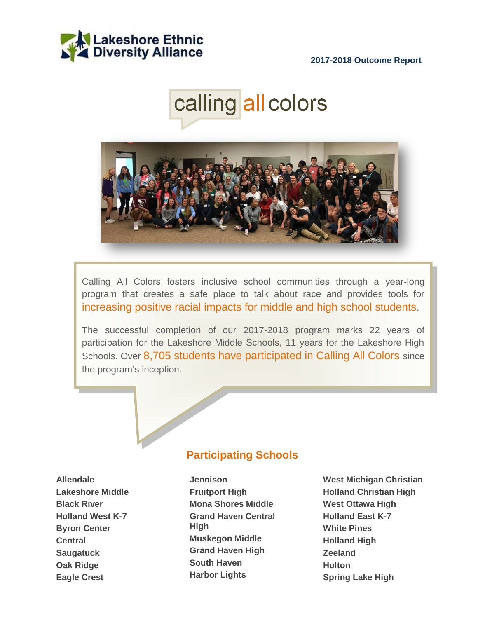





Calling All Colors fosters inclusive school communities through a year-long program that creates a safe place to talk about race and provides tools for increasing positive racial impacts for middle and high school students.

The successful completion of our 2017-2018 program marks 22 years of participation for the Lakeshore Middle Schools, 11 years for the Lakeshore High Schools. Over 8,705 students have participated in Calling All Colors since the program's inception.

# **Participating Schools**

**Allendale Lakeshore Middle Black River Holland West K-7 Byron Center Central Saugatuck Oak Ridge Eagle Crest**

**Jennison Fruitport High Mona Shores Middle Grand Haven Central High Muskegon Middle Grand Haven High South Haven Harbor Lights**

**West Michigan Christian Holland Christian High West Ottawa High Holland East K-7 White Pines Holland High Zeeland Holton Spring Lake High**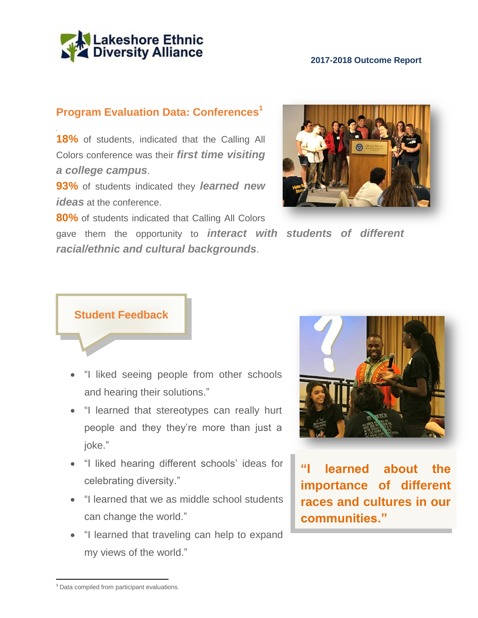

# **Program Evaluation Data: Conferences<sup>1</sup>**

18% of students, indicated that the Calling All Colors conference was their *first time visiting a college campus*.

**93%** of students indicated they *learned new ideas* at the conference.

**80%** of students indicated that Calling All Colors

gave them the opportunity to *interact with students of different racial/ethnic and cultural backgrounds*.





- "I liked seeing people from other schools and hearing their solutions."
- "I learned that stereotypes can really hurt people and they they're more than just a joke."
- "I liked hearing different schools' ideas for celebrating diversity."
- "I learned that we as middle school students can change the world."
- "I learned that traveling can help to expand my views of the world."



**"I learned about the importance of different races and cultures in our communities."**

 $\overline{a}$ <sup>1</sup> Data compiled from participant evaluations.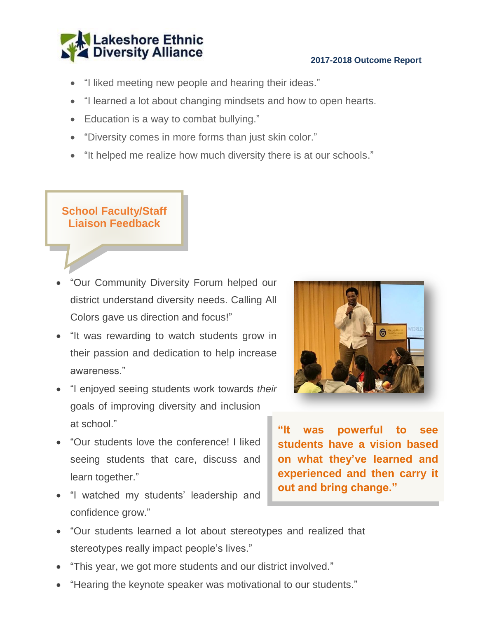

- "I liked meeting new people and hearing their ideas."
- "I learned a lot about changing mindsets and how to open hearts.
- Education is a way to combat bullying."
- "Diversity comes in more forms than just skin color."
- "It helped me realize how much diversity there is at our schools."

**School Faculty/Staff Liaison Feedback**

- "Our Community Diversity Forum helped our district understand diversity needs. Calling All Colors gave us direction and focus!"
- "It was rewarding to watch students grow in their passion and dedication to help increase awareness."
- "I enjoyed seeing students work towards *their* goals of improving diversity and inclusion at school."
- "Our students love the conference! I liked seeing students that care, discuss and learn together."
- "I watched my students' leadership and confidence grow."



**"It was powerful to see students have a vision based on what they've learned and experienced and then carry it out and bring change."**

- "Our students learned a lot about stereotypes and realized that stereotypes really impact people's lives."
- "This year, we got more students and our district involved."
- "Hearing the keynote speaker was motivational to our students."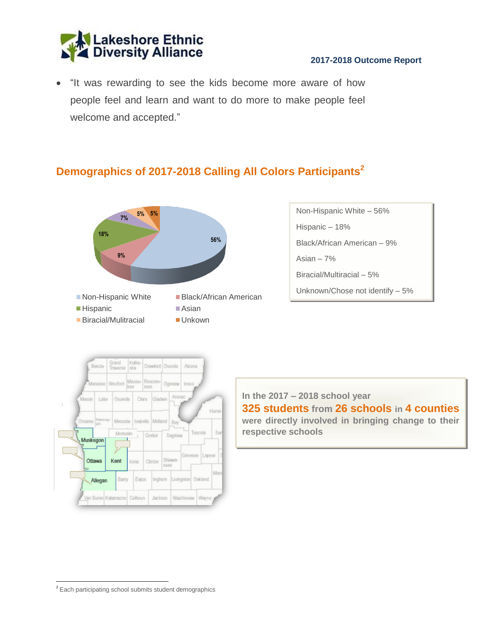

 "It was rewarding to see the kids become more aware of how people feel and learn and want to do more to make people feel welcome and accepted."

# **Demographics of 2017-2018 Calling All Colors Participants<sup>2</sup>**



Non-Hispanic White – 56% Hispanic – 18% Black/African American – 9% Asian – 7% Biracial/Multiracial – 5% Unknown/Chose not identify – 5%



**In the 2017 – 2018 school year 325 students from 26 schools in 4 counties were directly involved in bringing change to their respective schools**

 $\overline{a}$ <sup>2</sup> Each participating school submits student demographics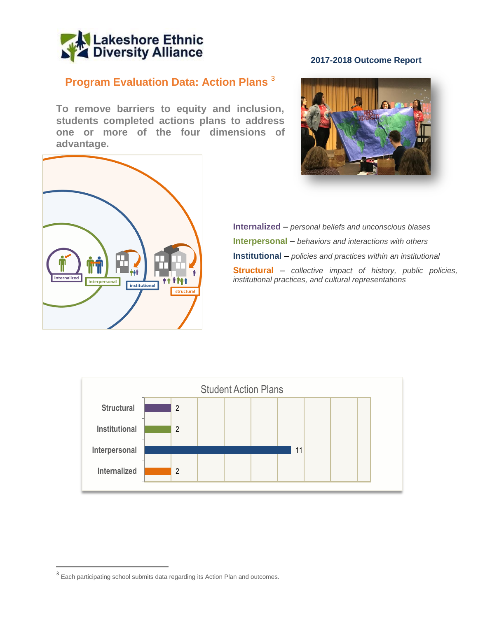

# **Program Evaluation Data: Action Plans** <sup>3</sup>

**To remove barriers to equity and inclusion, students completed actions plans to address one or more of the four dimensions of advantage.**



#### **2017-2018 Outcome Report**



**Internalized** – *personal beliefs and unconscious biases* **Interpersonal** – *behaviors and interactions with others* **Institutional** – *policies and practices within an institutional* **Structural** – *collective impact of history, public policies, institutional practices, and cultural representations*



 $\overline{\phantom{a}}$ 

<sup>&</sup>lt;sup>3</sup> Each participating school submits data regarding its Action Plan and outcomes.